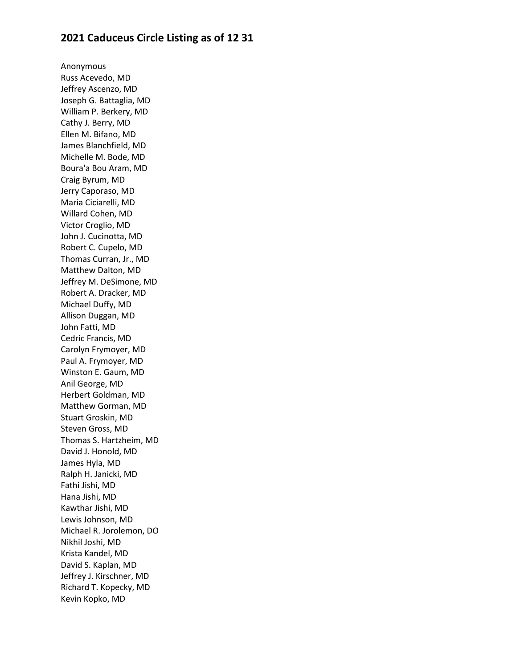## **2021 Caduceus Circle Listing as of 12 31**

Anonymous Russ Acevedo, MD Jeffrey Ascenzo, MD Joseph G. Battaglia, MD William P. Berkery, MD Cathy J. Berry, MD Ellen M. Bifano, MD James Blanchfield, MD Michelle M. Bode, MD Boura'a Bou Aram, MD Craig Byrum, MD Jerry Caporaso, MD Maria Ciciarelli, MD Willard Cohen, MD Victor Croglio, MD John J. Cucinotta, MD Robert C. Cupelo, MD Thomas Curran, Jr., MD Matthew Dalton, MD Jeffrey M. DeSimone, MD Robert A. Dracker, MD Michael Duffy, MD Allison Duggan, MD John Fatti, MD Cedric Francis, MD Carolyn Frymoyer, MD Paul A. Frymoyer, MD Winston E. Gaum, MD Anil George, MD Herbert Goldman, MD Matthew Gorman, MD Stuart Groskin, MD Steven Gross, MD Thomas S. Hartzheim, MD David J. Honold, MD James Hyla, MD Ralph H. Janicki, MD Fathi Jishi, MD Hana Jishi, MD Kawthar Jishi, MD Lewis Johnson, MD Michael R. Jorolemon, DO Nikhil Joshi, MD Krista Kandel, MD David S. Kaplan, MD Jeffrey J. Kirschner, MD Richard T. Kopecky, MD Kevin Kopko, MD